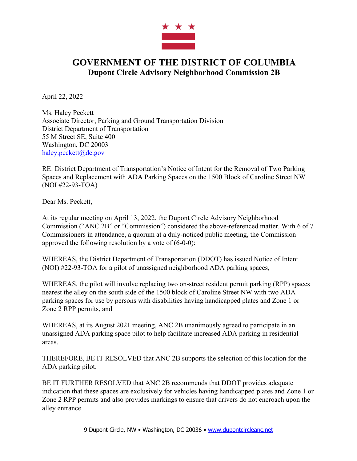

## **GOVERNMENT OF THE DISTRICT OF COLUMBIA Dupont Circle Advisory Neighborhood Commission 2B**

April 22, 2022

Ms. Haley Peckett Associate Director, Parking and Ground Transportation Division District Department of Transportation 55 M Street SE, Suite 400 Washington, DC 20003 haley.peckett@dc.gov

RE: District Department of Transportation's Notice of Intent for the Removal of Two Parking Spaces and Replacement with ADA Parking Spaces on the 1500 Block of Caroline Street NW (NOI #22-93-TOA)

Dear Ms. Peckett,

At its regular meeting on April 13, 2022, the Dupont Circle Advisory Neighborhood Commission ("ANC 2B" or "Commission") considered the above-referenced matter. With 6 of 7 Commissioners in attendance, a quorum at a duly-noticed public meeting, the Commission approved the following resolution by a vote of (6-0-0):

WHEREAS, the District Department of Transportation (DDOT) has issued Notice of Intent (NOI) #22-93-TOA for a pilot of unassigned neighborhood ADA parking spaces,

WHEREAS, the pilot will involve replacing two on-street resident permit parking (RPP) spaces nearest the alley on the south side of the 1500 block of Caroline Street NW with two ADA parking spaces for use by persons with disabilities having handicapped plates and Zone 1 or Zone 2 RPP permits, and

WHEREAS, at its August 2021 meeting, ANC 2B unanimously agreed to participate in an unassigned ADA parking space pilot to help facilitate increased ADA parking in residential areas.

THEREFORE, BE IT RESOLVED that ANC 2B supports the selection of this location for the ADA parking pilot.

BE IT FURTHER RESOLVED that ANC 2B recommends that DDOT provides adequate indication that these spaces are exclusively for vehicles having handicapped plates and Zone 1 or Zone 2 RPP permits and also provides markings to ensure that drivers do not encroach upon the alley entrance.